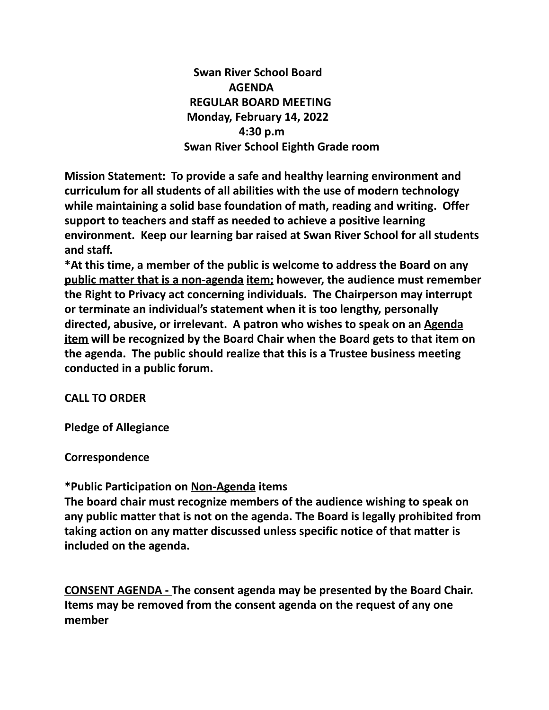**Swan River School Board AGENDA REGULAR BOARD MEETING Monday, February 14, 2022 4:30 p.m Swan River School Eighth Grade room**

**Mission Statement: To provide a safe and healthy learning environment and curriculum for all students of all abilities with the use of modern technology while maintaining a solid base foundation of math, reading and writing. Offer support to teachers and staff as needed to achieve a positive learning environment. Keep our learning bar raised at Swan River School for all students and staff.**

**\*At this time, a member of the public is welcome to address the Board on any public matter that is a non-agenda item; however, the audience must remember the Right to Privacy act concerning individuals. The Chairperson may interrupt or terminate an individual's statement when it is too lengthy, personally directed, abusive, or irrelevant. A patron who wishes to speak on an Agenda item will be recognized by the Board Chair when the Board gets to that item on the agenda. The public should realize that this is a Trustee business meeting conducted in a public forum.**

## **CALL TO ORDER**

**Pledge of Allegiance**

**Correspondence**

### **\*Public Participation on Non-Agenda items**

**The board chair must recognize members of the audience wishing to speak on any public matter that is not on the agenda. The Board is legally prohibited from taking action on any matter discussed unless specific notice of that matter is included on the agenda.**

**CONSENT AGENDA - The consent agenda may be presented by the Board Chair. Items may be removed from the consent agenda on the request of any one member**